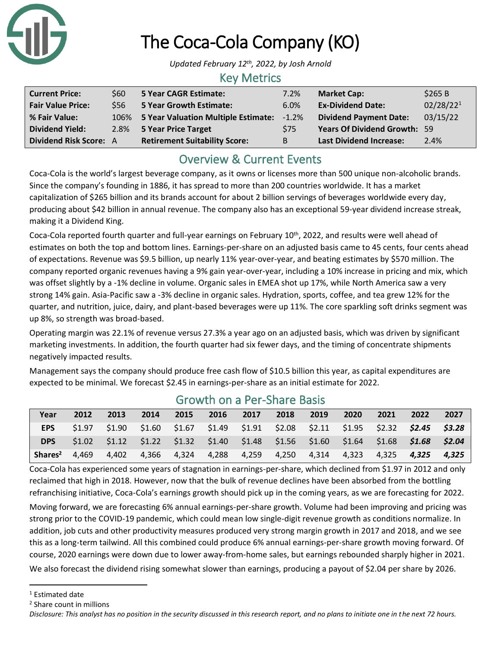

# The Coca-Cola Company (KO)

*Updated February 12th, 2022, by Josh Arnold*

### Key Metrics

| <b>Current Price:</b>         | \$60 | 5 Year CAGR Estimate:                     | 7.2%       | <b>Market Cap:</b>                  | \$265B                |
|-------------------------------|------|-------------------------------------------|------------|-------------------------------------|-----------------------|
| <b>Fair Value Price:</b>      | \$56 | 5 Year Growth Estimate:                   | 6.0%       | <b>Ex-Dividend Date:</b>            | 02/28/22 <sup>1</sup> |
| % Fair Value:                 | 106% | 5 Year Valuation Multiple Estimate: -1.2% |            | <b>Dividend Payment Date:</b>       | 03/15/22              |
| <b>Dividend Yield:</b>        |      | 2.8% 5 Year Price Target                  | <b>S75</b> | <b>Years Of Dividend Growth: 59</b> |                       |
| <b>Dividend Risk Score: A</b> |      | <b>Retirement Suitability Score:</b>      | B          | <b>Last Dividend Increase:</b>      | 2.4%                  |

## Overview & Current Events

Coca-Cola is the world's largest beverage company, as it owns or licenses more than 500 unique non-alcoholic brands. Since the company's founding in 1886, it has spread to more than 200 countries worldwide. It has a market capitalization of \$265 billion and its brands account for about 2 billion servings of beverages worldwide every day, producing about \$42 billion in annual revenue. The company also has an exceptional 59-year dividend increase streak, making it a Dividend King.

Coca-Cola reported fourth quarter and full-year earnings on February 10th, 2022, and results were well ahead of estimates on both the top and bottom lines. Earnings-per-share on an adjusted basis came to 45 cents, four cents ahead of expectations. Revenue was \$9.5 billion, up nearly 11% year-over-year, and beating estimates by \$570 million. The company reported organic revenues having a 9% gain year-over-year, including a 10% increase in pricing and mix, which was offset slightly by a -1% decline in volume. Organic sales in EMEA shot up 17%, while North America saw a very strong 14% gain. Asia-Pacific saw a -3% decline in organic sales. Hydration, sports, coffee, and tea grew 12% for the quarter, and nutrition, juice, dairy, and plant-based beverages were up 11%. The core sparkling soft drinks segment was up 8%, so strength was broad-based.

Operating margin was 22.1% of revenue versus 27.3% a year ago on an adjusted basis, which was driven by significant marketing investments. In addition, the fourth quarter had six fewer days, and the timing of concentrate shipments negatively impacted results.

Management says the company should produce free cash flow of \$10.5 billion this year, as capital expenditures are expected to be minimal. We forecast \$2.45 in earnings-per-share as an initial estimate for 2022.

| Year                | 2012   | 2013   | 2014 | 2015 | 2016 | 2017 | 2018 | 2019 | 2020 | 2021 | 2022                                                                                            | 2027  |
|---------------------|--------|--------|------|------|------|------|------|------|------|------|-------------------------------------------------------------------------------------------------|-------|
| <b>EPS</b>          | \$1.97 | \$1.90 |      |      |      |      |      |      |      |      | $$1.60$ $$1.67$ $$1.49$ $$1.91$ $$2.08$ $$2.11$ $$1.95$ $$2.32$ $$2.45$ $$3.28$                 |       |
| <b>DPS</b>          |        |        |      |      |      |      |      |      |      |      | $$1.02$ $$1.12$ $$1.22$ $$1.32$ $$1.40$ $$1.48$ $$1.56$ $$1.60$ $$1.64$ $$1.68$ $$1.68$ $$2.04$ |       |
| Shares <sup>2</sup> | 4.469  | 4.402  |      |      |      |      |      |      |      |      | 4,366  4,324  4,288  4,259  4,250  4,314  4,323  4,325 <b>4,325</b>                             | 4.325 |

### Growth on a Per-Share Basis

Coca-Cola has experienced some years of stagnation in earnings-per-share, which declined from \$1.97 in 2012 and only reclaimed that high in 2018. However, now that the bulk of revenue declines have been absorbed from the bottling refranchising initiative, Coca-Cola's earnings growth should pick up in the coming years, as we are forecasting for 2022.

Moving forward, we are forecasting 6% annual earnings-per-share growth. Volume had been improving and pricing was strong prior to the COVID-19 pandemic, which could mean low single-digit revenue growth as conditions normalize. In addition, job cuts and other productivity measures produced very strong margin growth in 2017 and 2018, and we see this as a long-term tailwind. All this combined could produce 6% annual earnings-per-share growth moving forward. Of course, 2020 earnings were down due to lower away-from-home sales, but earnings rebounded sharply higher in 2021.

We also forecast the dividend rising somewhat slower than earnings, producing a payout of \$2.04 per share by 2026.

<sup>&</sup>lt;sup>1</sup> Estimated date

<sup>2</sup> Share count in millions

*Disclosure: This analyst has no position in the security discussed in this research report, and no plans to initiate one in the next 72 hours.*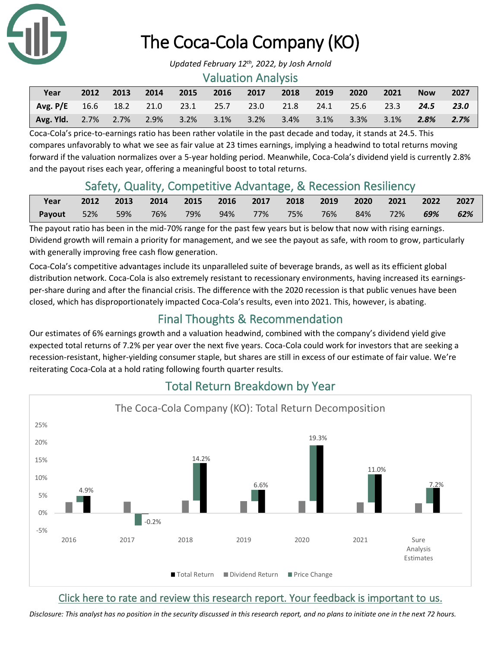

# The Coca-Cola Company (KO)

#### Valuation Analysis

| Year                                                                  | 2012 | 2013 | 2014 | 2015 | 2016 2017 | 2018 | 2019 | 2020 | $\sim$ 2021 | <b>Now</b> | 2027 |
|-----------------------------------------------------------------------|------|------|------|------|-----------|------|------|------|-------------|------------|------|
| Avg. P/E 16.6 18.2 21.0 23.1 25.7 23.0 21.8 24.1 25.6 23.3 24.5 23.0  |      |      |      |      |           |      |      |      |             |            |      |
| Avg. Yld. 2.7% 2.7% 2.9% 3.2% 3.1% 3.2% 3.4% 3.1% 3.3% 3.1% 2.8% 2.7% |      |      |      |      |           |      |      |      |             |            |      |

Coca-Cola's price-to-earnings ratio has been rather volatile in the past decade and today, it stands at 24.5. This compares unfavorably to what we see as fair value at 23 times earnings, implying a headwind to total returns moving forward if the valuation normalizes over a 5-year holding period. Meanwhile, Coca-Cola's dividend yield is currently 2.8% and the payout rises each year, offering a meaningful boost to total returns.

## Safety, Quality, Competitive Advantage, & Recession Resiliency

| Year   | 2012   | 2013 | 2014 2015 2016 2017 2018 2019 |     |          |     |     | 2020 |     | 2021 2022 2027 |     |
|--------|--------|------|-------------------------------|-----|----------|-----|-----|------|-----|----------------|-----|
| Payout | $52\%$ | 59%  | 76%                           | 79% | 94%  77% | 75% | 76% | 84%  | 72% | $69\%$         | 62% |

The payout ratio has been in the mid-70% range for the past few years but is below that now with rising earnings. Dividend growth will remain a priority for management, and we see the payout as safe, with room to grow, particularly with generally improving free cash flow generation.

Coca-Cola's competitive advantages include its unparalleled suite of beverage brands, as well as its efficient global distribution network. Coca-Cola is also extremely resistant to recessionary environments, having increased its earningsper-share during and after the financial crisis. The difference with the 2020 recession is that public venues have been closed, which has disproportionately impacted Coca-Cola's results, even into 2021. This, however, is abating.

## Final Thoughts & Recommendation

Our estimates of 6% earnings growth and a valuation headwind, combined with the company's dividend yield give expected total returns of 7.2% per year over the next five years. Coca-Cola could work for investors that are seeking a recession-resistant, higher-yielding consumer staple, but shares are still in excess of our estimate of fair value. We're reiterating Coca-Cola at a hold rating following fourth quarter results.



## Total Return Breakdown by Year

## [Click here to rate and review this research report. Your feedback is important to us.](https://suredividend.typeform.com/to/e7Q96E)

*Disclosure: This analyst has no position in the security discussed in this research report, and no plans to initiate one in the next 72 hours.*

*Updated February 12th, 2022, by Josh Arnold*